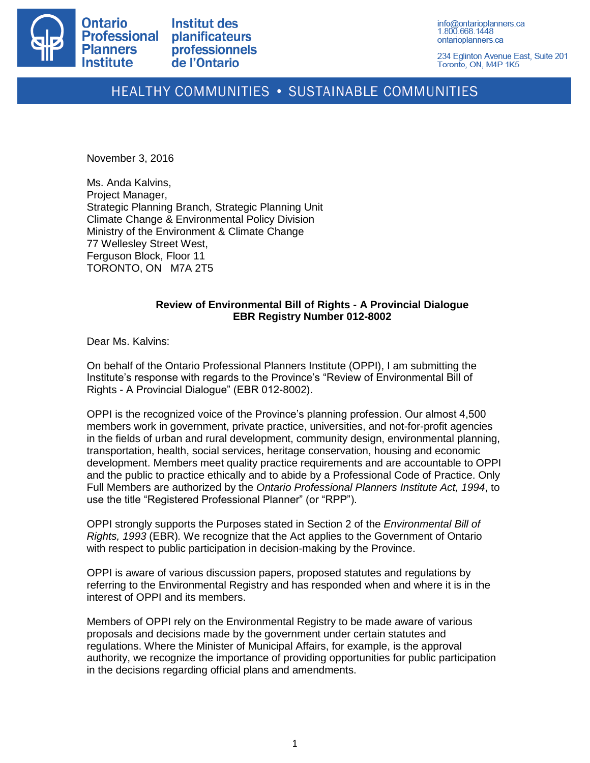

**Institut des** planificateurs professionnels de l'Ontario

info@ontarioplanners.ca 1.800.668.1448 ontarioplanners.ca

234 Eglinton Avenue East, Suite 201 Toronto, ON, M4P 1K5

# HEALTHY COMMUNITIES . SUSTAINABLE COMMUNITIES

November 3, 2016

Ms. Anda Kalvins, Project Manager, Strategic Planning Branch, Strategic Planning Unit Climate Change & Environmental Policy Division Ministry of the Environment & Climate Change 77 Wellesley Street West, Ferguson Block, Floor 11 TORONTO, ON M7A 2T5

## **Review of Environmental Bill of Rights - A Provincial Dialogue EBR Registry Number 012-8002**

Dear Ms. Kalvins:

On behalf of the Ontario Professional Planners Institute (OPPI), I am submitting the Institute's response with regards to the Province's "Review of Environmental Bill of Rights - A Provincial Dialogue" (EBR 012-8002).

OPPI is the recognized voice of the Province's planning profession. Our almost 4,500 members work in government, private practice, universities, and not-for-profit agencies in the fields of urban and rural development, community design, environmental planning, transportation, health, social services, heritage conservation, housing and economic development. Members meet quality practice requirements and are accountable to OPPI and the public to practice ethically and to abide by a Professional Code of Practice. Only Full Members are authorized by the *Ontario Professional Planners Institute Act, 1994*, to use the title "Registered Professional Planner" (or "RPP").

OPPI strongly supports the Purposes stated in Section 2 of the *Environmental Bill of Rights, 1993* (EBR)*.* We recognize that the Act applies to the Government of Ontario with respect to public participation in decision-making by the Province.

OPPI is aware of various discussion papers, proposed statutes and regulations by referring to the Environmental Registry and has responded when and where it is in the interest of OPPI and its members.

Members of OPPI rely on the Environmental Registry to be made aware of various proposals and decisions made by the government under certain statutes and regulations. Where the Minister of Municipal Affairs, for example, is the approval authority, we recognize the importance of providing opportunities for public participation in the decisions regarding official plans and amendments.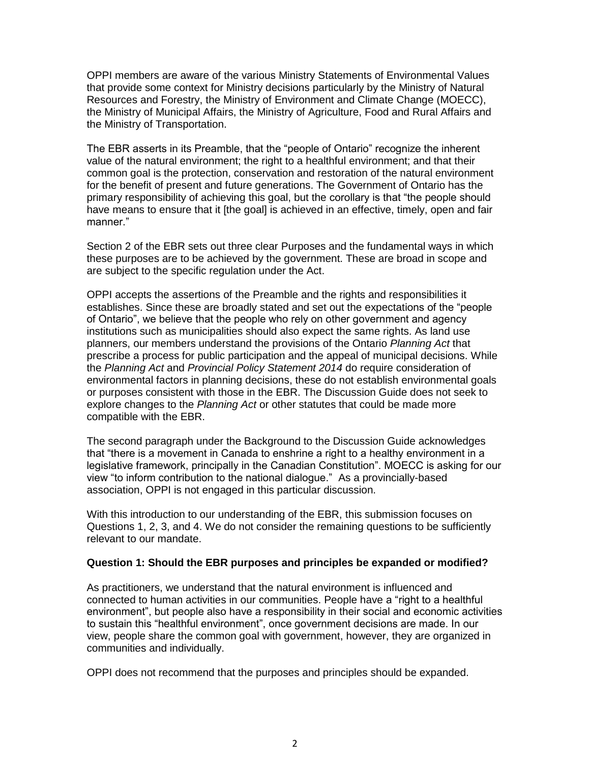OPPI members are aware of the various Ministry Statements of Environmental Values that provide some context for Ministry decisions particularly by the Ministry of Natural Resources and Forestry, the Ministry of Environment and Climate Change (MOECC), the Ministry of Municipal Affairs, the Ministry of Agriculture, Food and Rural Affairs and the Ministry of Transportation.

The EBR asserts in its Preamble, that the "people of Ontario" recognize the inherent value of the natural environment; the right to a healthful environment; and that their common goal is the protection, conservation and restoration of the natural environment for the benefit of present and future generations. The Government of Ontario has the primary responsibility of achieving this goal, but the corollary is that "the people should have means to ensure that it [the goal] is achieved in an effective, timely, open and fair manner."

Section 2 of the EBR sets out three clear Purposes and the fundamental ways in which these purposes are to be achieved by the government. These are broad in scope and are subject to the specific regulation under the Act.

OPPI accepts the assertions of the Preamble and the rights and responsibilities it establishes. Since these are broadly stated and set out the expectations of the "people of Ontario", we believe that the people who rely on other government and agency institutions such as municipalities should also expect the same rights. As land use planners, our members understand the provisions of the Ontario *Planning Act* that prescribe a process for public participation and the appeal of municipal decisions. While the *Planning Act* and *Provincial Policy Statement 2014* do require consideration of environmental factors in planning decisions, these do not establish environmental goals or purposes consistent with those in the EBR. The Discussion Guide does not seek to explore changes to the *Planning Act* or other statutes that could be made more compatible with the EBR.

The second paragraph under the Background to the Discussion Guide acknowledges that "there is a movement in Canada to enshrine a right to a healthy environment in a legislative framework, principally in the Canadian Constitution". MOECC is asking for our view "to inform contribution to the national dialogue." As a provincially-based association, OPPI is not engaged in this particular discussion.

With this introduction to our understanding of the EBR, this submission focuses on Questions 1, 2, 3, and 4. We do not consider the remaining questions to be sufficiently relevant to our mandate.

#### **Question 1: Should the EBR purposes and principles be expanded or modified?**

As practitioners, we understand that the natural environment is influenced and connected to human activities in our communities. People have a "right to a healthful environment", but people also have a responsibility in their social and economic activities to sustain this "healthful environment", once government decisions are made. In our view, people share the common goal with government, however, they are organized in communities and individually.

OPPI does not recommend that the purposes and principles should be expanded.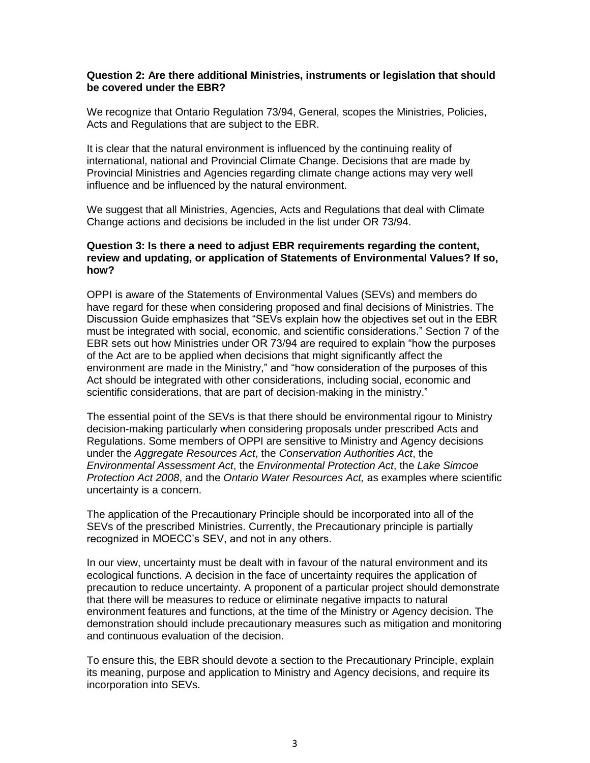### **Question 2: Are there additional Ministries, instruments or legislation that should be covered under the EBR?**

We recognize that Ontario Regulation 73/94, General, scopes the Ministries, Policies, Acts and Regulations that are subject to the EBR.

It is clear that the natural environment is influenced by the continuing reality of international, national and Provincial Climate Change. Decisions that are made by Provincial Ministries and Agencies regarding climate change actions may very well influence and be influenced by the natural environment.

We suggest that all Ministries, Agencies, Acts and Regulations that deal with Climate Change actions and decisions be included in the list under OR 73/94.

#### **Question 3: Is there a need to adjust EBR requirements regarding the content, review and updating, or application of Statements of Environmental Values? If so, how?**

OPPI is aware of the Statements of Environmental Values (SEVs) and members do have regard for these when considering proposed and final decisions of Ministries. The Discussion Guide emphasizes that "SEVs explain how the objectives set out in the EBR must be integrated with social, economic, and scientific considerations." Section 7 of the EBR sets out how Ministries under OR 73/94 are required to explain "how the purposes of the Act are to be applied when decisions that might significantly affect the environment are made in the Ministry," and "how consideration of the purposes of this Act should be integrated with other considerations, including social, economic and scientific considerations, that are part of decision-making in the ministry."

The essential point of the SEVs is that there should be environmental rigour to Ministry decision-making particularly when considering proposals under prescribed Acts and Regulations. Some members of OPPI are sensitive to Ministry and Agency decisions under the *Aggregate Resources Act*, the *Conservation Authorities Act*, the *Environmental Assessment Act*, the *Environmental Protection Act*, the *Lake Simcoe Protection Act 2008*, and the *Ontario Water Resources Act,* as examples where scientific uncertainty is a concern.

The application of the Precautionary Principle should be incorporated into all of the SEVs of the prescribed Ministries. Currently, the Precautionary principle is partially recognized in MOECC's SEV, and not in any others.

In our view, uncertainty must be dealt with in favour of the natural environment and its ecological functions. A decision in the face of uncertainty requires the application of precaution to reduce uncertainty. A proponent of a particular project should demonstrate that there will be measures to reduce or eliminate negative impacts to natural environment features and functions, at the time of the Ministry or Agency decision. The demonstration should include precautionary measures such as mitigation and monitoring and continuous evaluation of the decision.

To ensure this, the EBR should devote a section to the Precautionary Principle, explain its meaning, purpose and application to Ministry and Agency decisions, and require its incorporation into SEVs.